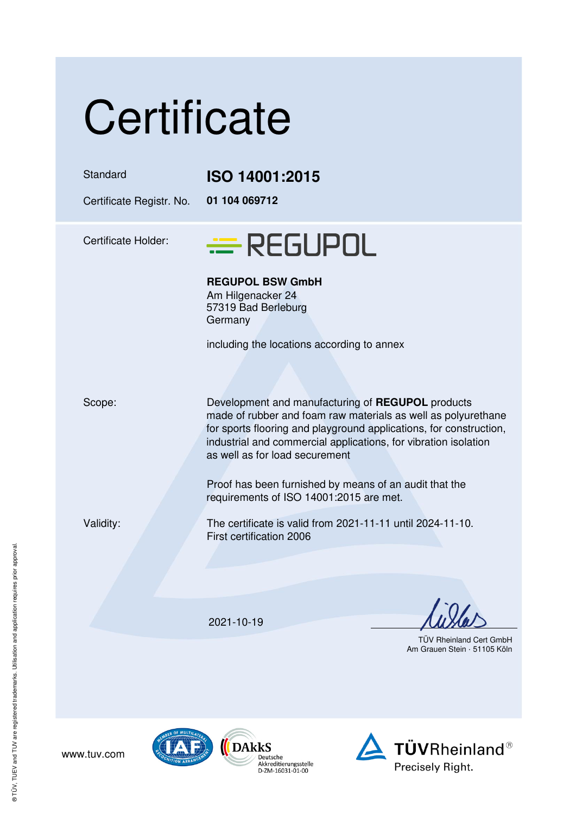| Certificate                          |                                                                                                                                                                                                                                                                                               |
|--------------------------------------|-----------------------------------------------------------------------------------------------------------------------------------------------------------------------------------------------------------------------------------------------------------------------------------------------|
| Standard<br>Certificate Registr. No. | <b>ISO 14001:2015</b><br>01 104 069712                                                                                                                                                                                                                                                        |
| <b>Certificate Holder:</b>           | $\equiv$ REGUPOL                                                                                                                                                                                                                                                                              |
|                                      | <b>REGUPOL BSW GmbH</b><br>Am Hilgenacker 24<br>57319 Bad Berleburg<br>Germany                                                                                                                                                                                                                |
|                                      | including the locations according to annex                                                                                                                                                                                                                                                    |
| Scope:                               | Development and manufacturing of REGUPOL products<br>made of rubber and foam raw materials as well as polyurethane<br>for sports flooring and playground applications, for construction,<br>industrial and commercial applications, for vibration isolation<br>as well as for load securement |
|                                      | Proof has been furnished by means of an audit that the<br>requirements of ISO 14001:2015 are met.                                                                                                                                                                                             |
| Validity:                            | The certificate is valid from 2021-11-11 until 2024-11-10.<br>First certification 2006                                                                                                                                                                                                        |
|                                      |                                                                                                                                                                                                                                                                                               |
|                                      | 2021-10-19                                                                                                                                                                                                                                                                                    |
|                                      | <b>TÜV Rheinland Cert GmbH</b><br>Am Grauen Stein · 51105 Köln                                                                                                                                                                                                                                |